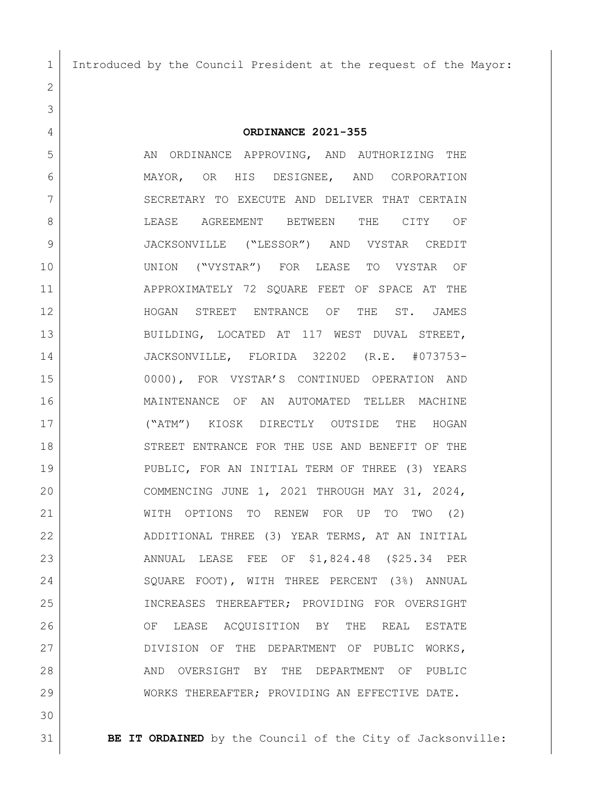Introduced by the Council President at the request of the Mayor:

**ORDINANCE 2021-355**

5 AN ORDINANCE APPROVING, AND AUTHORIZING THE MAYOR, OR HIS DESIGNEE, AND CORPORATION 7 SECRETARY TO EXECUTE AND DELIVER THAT CERTAIN **BULEASE AGREEMENT BETWEEN THE CITY OF**  JACKSONVILLE ("LESSOR") AND VYSTAR CREDIT UNION ("VYSTAR") FOR LEASE TO VYSTAR OF APPROXIMATELY 72 SQUARE FEET OF SPACE AT THE HOGAN STREET ENTRANCE OF THE ST. JAMES 13 BUILDING, LOCATED AT 117 WEST DUVAL STREET, JACKSONVILLE, FLORIDA 32202 (R.E. #073753- 0000), FOR VYSTAR'S CONTINUED OPERATION AND MAINTENANCE OF AN AUTOMATED TELLER MACHINE ("ATM") KIOSK DIRECTLY OUTSIDE THE HOGAN 18 STREET ENTRANCE FOR THE USE AND BENEFIT OF THE PUBLIC, FOR AN INITIAL TERM OF THREE (3) YEARS COMMENCING JUNE 1, 2021 THROUGH MAY 31, 2024, WITH OPTIONS TO RENEW FOR UP TO TWO (2) ADDITIONAL THREE (3) YEAR TERMS, AT AN INITIAL ANNUAL LEASE FEE OF \$1,824.48 (\$25.34 PER SQUARE FOOT), WITH THREE PERCENT (3%) ANNUAL INCREASES THEREAFTER; PROVIDING FOR OVERSIGHT OF LEASE ACQUISITION BY THE REAL ESTATE 27 DIVISION OF THE DEPARTMENT OF PUBLIC WORKS, 28 AND OVERSIGHT BY THE DEPARTMENT OF PUBLIC WORKS THEREAFTER; PROVIDING AN EFFECTIVE DATE.

**BE IT ORDAINED** by the Council of the City of Jacksonville: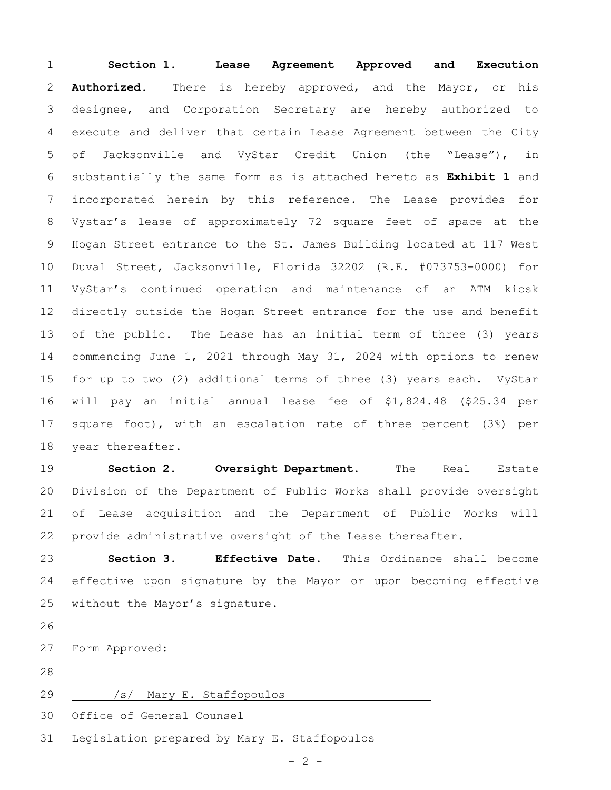**Section 1**. **Lease Agreement Approved and Execution Authorized.** There is hereby approved, and the Mayor, or his 3 designee, and Corporation Secretary are hereby authorized to execute and deliver that certain Lease Agreement between the City 5 of Jacksonville and VyStar Credit Union (the "Lease"), in substantially the same form as is attached hereto as **Exhibit 1** and incorporated herein by this reference. The Lease provides for Vystar's lease of approximately 72 square feet of space at the Hogan Street entrance to the St. James Building located at 117 West Duval Street, Jacksonville, Florida 32202 (R.E. #073753-0000) for VyStar's continued operation and maintenance of an ATM kiosk directly outside the Hogan Street entrance for the use and benefit of the public. The Lease has an initial term of three (3) years 14 commencing June 1, 2021 through May 31, 2024 with options to renew for up to two (2) additional terms of three (3) years each. VyStar will pay an initial annual lease fee of \$1,824.48 (\$25.34 per square foot), with an escalation rate of three percent (3%) per 18 year thereafter.

 **Section 2. Oversight Department.** The Real Estate Division of the Department of Public Works shall provide oversight of Lease acquisition and the Department of Public Works will provide administrative oversight of the Lease thereafter.

 **Section 3. Effective Date.** This Ordinance shall become effective upon signature by the Mayor or upon becoming effective 25 without the Mayor's signature.

Form Approved:

29 /s/ Mary E. Staffopoulos

Office of General Counsel

Legislation prepared by Mary E. Staffopoulos

 $-2 -$